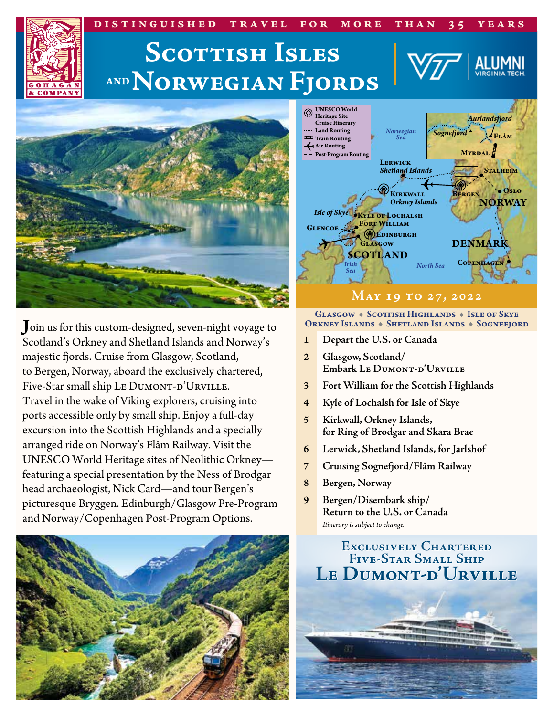#### **distinguished travel for more than 35 years Scottish Isles ANDNorwegian FjordsCOMPAN UNESCO World Heritage Site** *Aurlandsfjord* **Cruise Itinerary Land Routing** *Norwegian Sea* **Flåm** *Sognefjord* **Train Routing Air Routing Myrdal Post-Program Routing Lerwick** *Shetland Islands* **Stalheim Oslo Kirkwall Bergen** *Orkney Islands* **NORWAY** *Isle of Skye* **KYLE OF LOCHALSH Fort William Glencoe Edinburgh DENMARK Glasgow SCOTLAND Copenhagen** *Irish North Sea Sea*

**J**oin us for this custom-designed, seven-night voyage to Scotland's Orkney and Shetland Islands and Norway's majestic fjords. Cruise from Glasgow, Scotland, to Bergen, Norway, aboard the exclusively chartered, Five-Star small ship Le DUMONT-D'URVILLE. Travel in the wake of Viking explorers, cruising into ports accessible only by small ship. Enjoy a full-day excursion into the Scottish Highlands and a specially arranged ride on Norway's Flåm Railway. Visit the UNESCO World Heritage sites of Neolithic Orkney featuring a special presentation by the Ness of Brodgar head archaeologist, Nick Card—and tour Bergen's picturesque Bryggen. Edinburgh/Glasgow Pre-Program and Norway/Copenhagen Post-Program Options.



GLASGOW + SCOTTISH HIGHLANDS + ISLE OF SKYE ORKNEY ISLANDS • SHETLAND ISLANDS • SOGNEFJORD

**May 19 to 27, 2022**

- **1 Depart the U.S. or Canada**
- **2 Glasgow, Scotland/ Embark Le Dumont-d'Urville**
- **3 Fort William for the Scottish Highlands**
- **4 Kyle of Lochalsh for Isle of Skye**
- **5 Kirkwall, Orkney Islands, for Ring of Brodgar and Skara Brae**
- **6 Lerwick, Shetland Islands, for Jarlshof**
- **7 Cruising Sognefjord/Flåm Railway**
- **8 Bergen, Norway**
- **9 Bergen/Disembark ship/ Return to the U.S. or Canada** *Itinerary is subject to change.*

### **Exclusively Chartered Five-Star Small Ship Le Dumont-d'Urville**